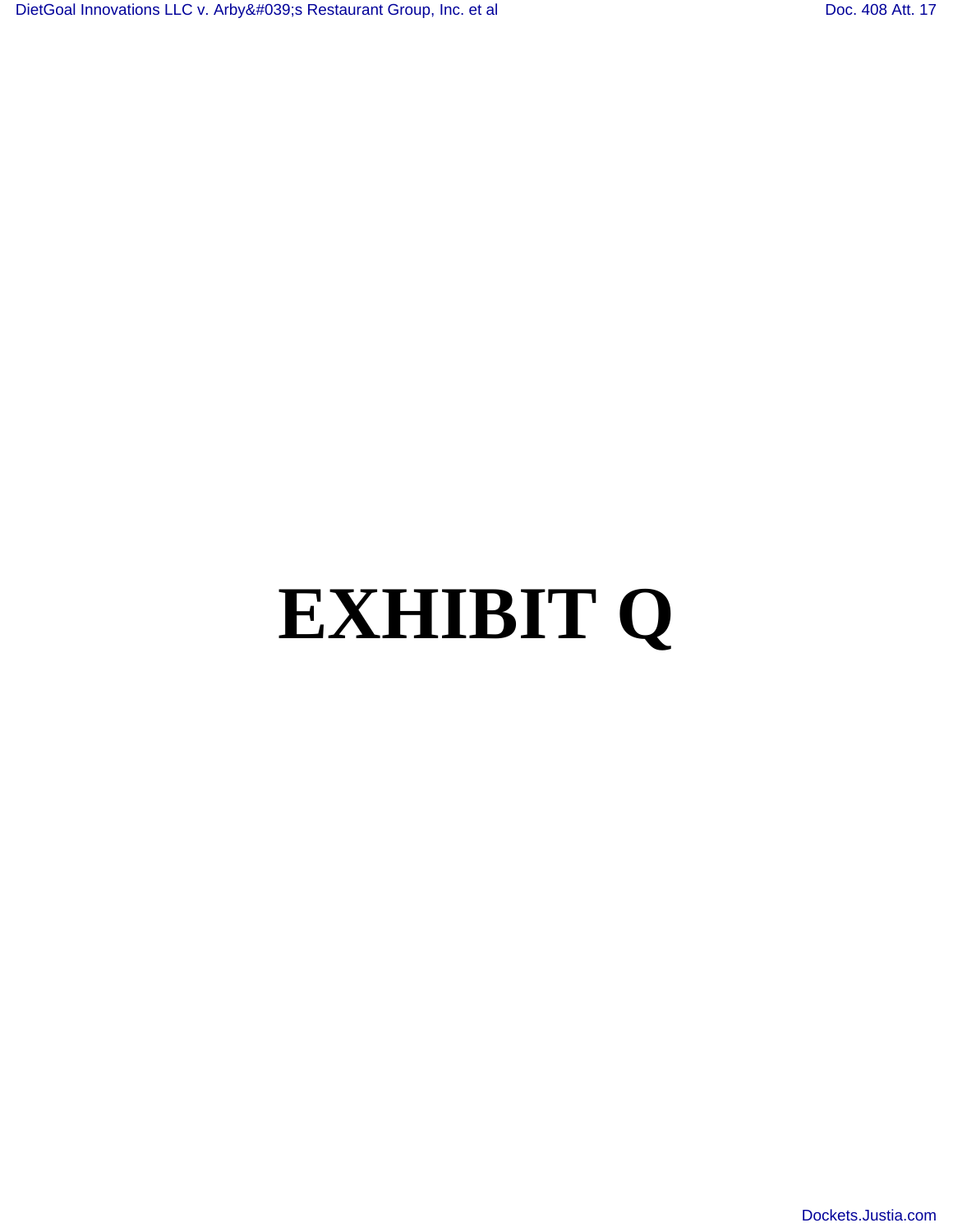## **EXHIBIT Q**

[Dockets.Justia.com](http://dockets.justia.com/)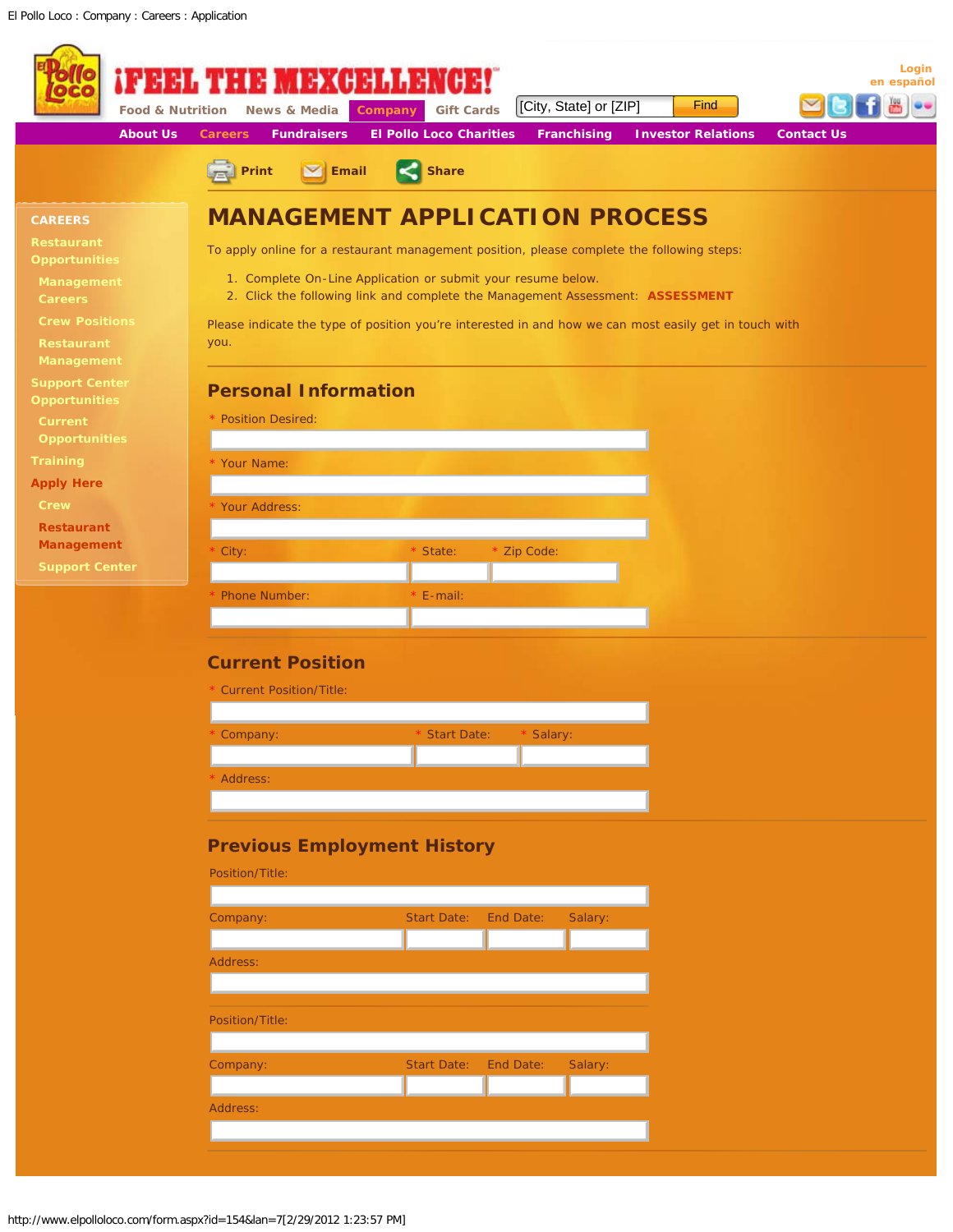<span id="page-1-0"></span>

|                                               | News & Media<br><b>Food &amp; Nutrition</b>                                                            | <b>Gift Cards</b><br>Company                   | [City, State] or [ZIP]                                                         | <b>Find</b>               |                   |
|-----------------------------------------------|--------------------------------------------------------------------------------------------------------|------------------------------------------------|--------------------------------------------------------------------------------|---------------------------|-------------------|
| <b>About Us</b>                               | <b>Careers</b><br><b>Fundraisers</b><br>Print<br>$\triangleright$ Email                                | <b>El Pollo Loco Charities</b><br><b>Share</b> | <b>Franchising</b>                                                             | <b>Investor Relations</b> | <b>Contact Us</b> |
|                                               |                                                                                                        |                                                |                                                                                |                           |                   |
| <b>CAREERS</b>                                | <b>MANAGEMENT APPLICATION PROCESS</b>                                                                  |                                                |                                                                                |                           |                   |
| <b>Restaurant</b><br><b>Opportunities</b>     | To apply online for a restaurant management position, please complete the following steps:             |                                                |                                                                                |                           |                   |
| Management<br><b>Careers</b>                  | 1. Complete On-Line Application or submit your resume below.                                           |                                                | 2. Click the following link and complete the Management Assessment: ASSESSMENT |                           |                   |
| <b>Crew Positions</b>                         | Please indicate the type of position you're interested in and how we can most easily get in touch with |                                                |                                                                                |                           |                   |
| Restaurant<br>Management                      | you.                                                                                                   |                                                |                                                                                |                           |                   |
| <b>Support Center</b><br><b>Opportunities</b> | <b>Personal Information</b>                                                                            |                                                |                                                                                |                           |                   |
| Current                                       | * Position Desired:                                                                                    |                                                |                                                                                |                           |                   |
| <b>Opportunities</b><br><b>Training</b>       | Your Name:                                                                                             |                                                |                                                                                |                           |                   |
| <b>Apply Here</b>                             |                                                                                                        |                                                |                                                                                |                           |                   |
| Crew                                          | Your Address:                                                                                          |                                                |                                                                                |                           |                   |
| <b>Restaurant</b>                             |                                                                                                        |                                                |                                                                                |                           |                   |
| Management                                    | City:                                                                                                  | State:                                         | Zip Code:                                                                      |                           |                   |
| <b>Support Center</b>                         | <b>Phone Number:</b>                                                                                   | E-mail:                                        |                                                                                |                           |                   |
|                                               | <b>Current Position</b>                                                                                |                                                |                                                                                |                           |                   |
|                                               | <b>Current Position/Title:</b>                                                                         |                                                |                                                                                |                           |                   |
|                                               | Company:                                                                                               | <b>Start Date:</b>                             | Salary:                                                                        |                           |                   |
|                                               |                                                                                                        |                                                |                                                                                |                           |                   |
|                                               | Address:                                                                                               |                                                |                                                                                |                           |                   |
|                                               |                                                                                                        |                                                |                                                                                |                           |                   |
|                                               | <b>Previous Employment History</b><br>Position/Title:                                                  |                                                |                                                                                |                           |                   |
|                                               | Company:                                                                                               | <b>Start Date:</b>                             | End Date:<br>Salary:                                                           |                           |                   |
|                                               |                                                                                                        |                                                |                                                                                |                           |                   |
|                                               | Address:                                                                                               |                                                |                                                                                |                           |                   |
|                                               | Position/Title:                                                                                        |                                                |                                                                                |                           |                   |
|                                               |                                                                                                        |                                                |                                                                                |                           |                   |
|                                               | Company:                                                                                               | <b>Start Date:</b>                             | End Date:<br>Salary:                                                           |                           |                   |